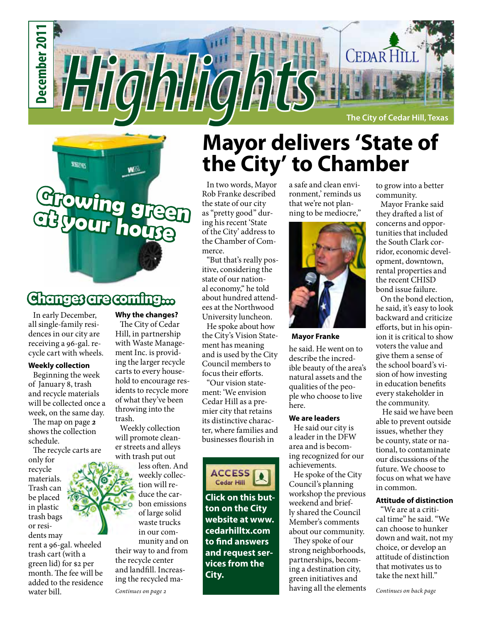

## **Growing green at your house**

WA

**ESQUE** 

### **Changes are coming...**

In early December, all single-family residences in our city are receiving a 96-gal. recycle cart with wheels.

#### **Weekly collection**

Beginning the week of January 8, trash and recycle materials will be collected once a week, on the same day.

The map on page *2* shows the collection schedule.

The recycle carts are only for recycle materials. Trash can be placed in plastic trash bags or residents may rent a 96-gal. wheeled trash cart (with a green lid) for \$2 per month. The fee will be added to the residence water bill.

#### **Why the changes?**

The City of Cedar Hill, in partnership with Waste Management Inc. is providing the larger recycle carts to every household to encourage residents to recycle more of what they've been throwing into the trash.

Weekly collection will promote cleaner streets and alleys with trash put out

less often. And weekly collection will reduce the carbon emissions of large solid waste trucks in our community and on their way to and from the recycle center and landfill. Increasing the recycled ma-

## **Mayor delivers 'State of the City' to Chamber**

In two words, Mayor Rob Franke described the state of our city as "pretty good" during his recent 'State of the City' address to the Chamber of Commerce.

"But that's really positive, considering the state of our national economy," he told about hundred attendees at the Northwood University luncheon.

He spoke about how the City's Vision Statement has meaning and is used by the City Council members to focus their efforts.

"Our vision statement: 'We envision Cedar Hill as a premier city that retains its distinctive character, where families and businesses flourish in



**Click on this button on the City website at www. cedarhilltx.com to find answers and request services from the City.**

a safe and clean environment,' reminds us that we're not planning to be mediocre,"



**Mayor Franke**

he said. He went on to describe the incredible beauty of the area's natural assets and the qualities of the people who choose to live here.

#### **We are leaders**

He said our city is a leader in the DFW area and is becoming recognized for our achievements.

He spoke of the City Council's planning workshop the previous weekend and briefly shared the Council Member's comments about our community.

They spoke of our strong neighborhoods, partnerships, becoming a destination city, green initiatives and having all the elements to grow into a better community.

Mayor Franke said they drafted a list of concerns and opportunities that included the South Clark corridor, economic development, downtown, rental properties and the recent CHISD bond issue failure.

On the bond election, he said, it's easy to look backward and criticize efforts, but in his opinion it is critical to show voters the value and give them a sense of the school board's vision of how investing in education benefits every stakeholder in the community.

 He said we have been able to prevent outside issues, whether they be county, state or national, to contaminate our discussions of the future. We choose to focus on what we have in common.

#### **Attitude of distinction**

"We are at a critical time" he said. "We can choose to hunker down and wait, not my choice, or develop an attitude of distinction that motivates us to take the next hill."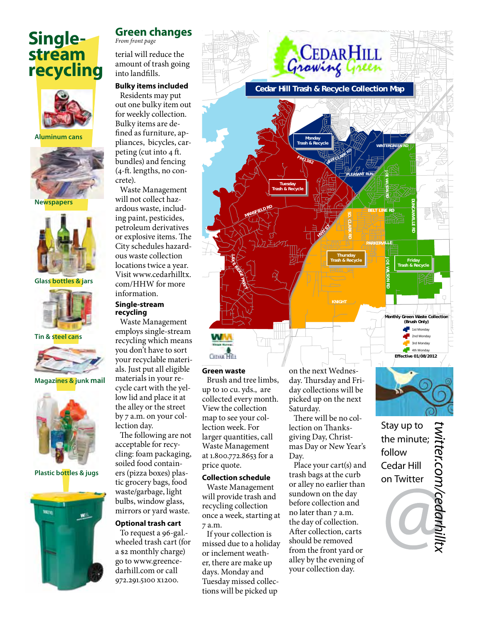### **Singlestream recycling**



**Aluminum cans**



**Newspapers** 



**Glass bottles & jars**



#### **Tin & steel cans**



**Magazines & junk mail**



**Plastic bottles & jugs**



#### **Green changes**

*From front page*

terial will reduce the amount of trash going into landfills.

#### **Bulky items included**

Residents may put out one bulky item out for weekly collection. Bulky items are defined as furniture, appliances, bicycles, carpeting (cut into 4 ft. bundles) and fencing (4-ft. lengths, no concrete).

Waste Management will not collect hazardous waste, including paint, pesticides, petroleum derivatives or explosive items. The City schedules hazardous waste collection locations twice a year. Visit www.cedarhilltx. com/HHW for more information.

#### **Single-stream recycling**

Waste Management employs single-stream recycling which means you don't have to sort your recyclable materials. Just put all eligible materials in your recycle cart with the yellow lid and place it at the alley or the street by 7 a.m. on your collection day.

The following are not acceptable for recycling: foam packaging, soiled food containers (pizza boxes) plastic grocery bags, food waste/garbage, light bulbs, window glass, mirrors or yard waste.

#### **Optional trash cart**

To request a 96-gal. wheeled trash cart (for a \$2 monthly charge) go to www.greencedarhill.com or call 972.291.5100 x1200.



day collections will be picked up on the next Saturday. There will be no collection on Thanksgiving Day, Christ-

collected every month. View the collection map to see your collection week. For larger quantities, call Waste Management at 1.800.772.8653 for a

price quote.

7 a.m.

**Collection schedule** Waste Management will provide trash and recycling collection once a week, starting at

If your collection is missed due to a holiday or inclement weather, there are make up days. Monday and Tuesday missed collections will be picked up

mas Day or New Year's Day. Place your cart(s) and trash bags at the curb

or alley no earlier than sundown on the day before collection and no later than 7 a.m. the day of collection. After collection, carts should be removed from the front yard or alley by the evening of your collection day.

Stay up to *twitter.com/cedarhilltx*witter.com/cedarhilltx the minute; follow Cedar Hill on Twitter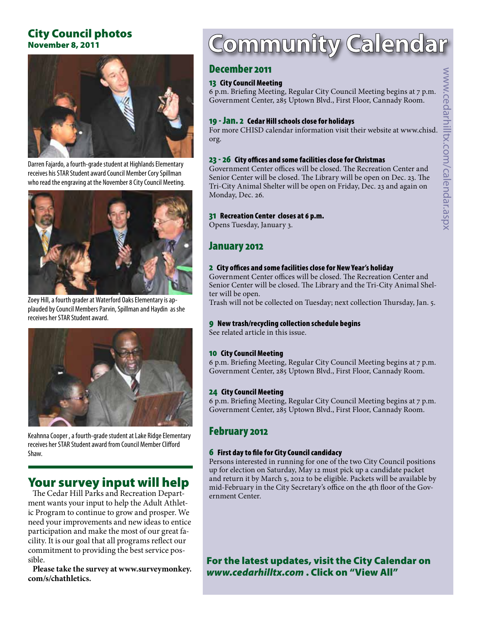#### City Council photos November 8, 2011



Darren Fajardo, a fourth-grade student at Highlands Elementary receives his STAR Student award Council Member Cory Spillman who read the engraving at the November 8 City Council Meeting.



Zoey Hill, a fourth grader at Waterford Oaks Elementary is applauded by Council Members Parvin, Spillman and Haydin as she receives her STAR Student award.



Keahnna Cooper , a fourth-grade student at Lake Ridge Elementary receives her STAR Student award from Council Member Clifford Shaw.

### Your survey input will help

The Cedar Hill Parks and Recreation Department wants your input to help the Adult Athletic Program to continue to grow and prosper. We need your improvements and new ideas to entice participation and make the most of our great facility. It is our goal that all programs reflect our commitment to providing the best service possible.

**Please take the survey at www.surveymonkey. com/s/chathletics.**

## **Community Calenda**

#### December 2011

#### 13 City Council Meeting

6 p.m. Briefing Meeting, Regular City Council Meeting begins at 7 p.m. Government Center, 285 Uptown Blvd., First Floor, Cannady Room.

#### 19 - Jan. 2 Cedar Hill schools close for holidays

For more CHISD calendar information visit their website at www.chisd. org.

#### 23 - 26 City offices and some facilities close for Christmas

Government Center offices will be closed. The Recreation Center and Senior Center will be closed. The Library will be open on Dec. 23. The Tri-City Animal Shelter will be open on Friday, Dec. 23 and again on Monday, Dec. 26.

#### 31 Recreation Center closes at 6 p.m.

Opens Tuesday, January 3.

#### January 2012

#### 2 City offices and some facilities close for New Year's holiday

Government Center offices will be closed. The Recreation Center and Senior Center will be closed. The Library and the Tri-City Animal Shelter will be open.

Trash will not be collected on Tuesday; next collection Thursday, Jan. 5.

#### 9 New trash/recycling collection schedule begins

See related article in this issue.

#### 10 City Council Meeting

6 p.m. Briefing Meeting, Regular City Council Meeting begins at 7 p.m. Government Center, 285 Uptown Blvd., First Floor, Cannady Room.

#### 24 City Council Meeting

6 p.m. Briefing Meeting, Regular City Council Meeting begins at 7 p.m. Government Center, 285 Uptown Blvd., First Floor, Cannady Room.

#### February 2012

#### 6 First day to file for City Council candidacy

Persons interested in running for one of the two City Council positions up for election on Saturday, May 12 must pick up a candidate packet and return it by March 5, 2012 to be eligible. Packets will be available by mid-February in the City Secretary's office on the 4th floor of the Government Center.

For the latest updates, visit the City Calendar on *www.cedarhilltx.com* . Click on "View All"